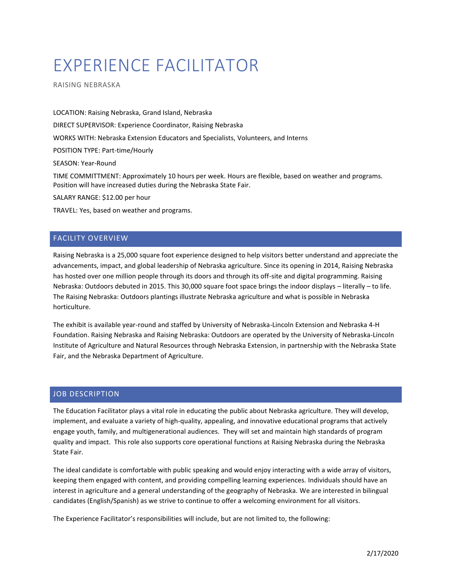# EXPERIENCE FACILITATOR

RAISING NEBRASKA

LOCATION: Raising Nebraska, Grand Island, Nebraska DIRECT SUPERVISOR: Experience Coordinator, Raising Nebraska WORKS WITH: Nebraska Extension Educators and Specialists, Volunteers, and Interns POSITION TYPE: Part-time/Hourly SEASON: Year-Round TIME COMMITTMENT: Approximately 10 hours per week. Hours are flexible, based on weather and programs. Position will have increased duties during the Nebraska State Fair.

SALARY RANGE: \$12.00 per hour

TRAVEL: Yes, based on weather and programs.

# FACILITY OVERVIEW

Raising Nebraska is a 25,000 square foot experience designed to help visitors better understand and appreciate the advancements, impact, and global leadership of Nebraska agriculture. Since its opening in 2014, Raising Nebraska has hosted over one million people through its doors and through its off-site and digital programming. Raising Nebraska: Outdoors debuted in 2015. This 30,000 square foot space brings the indoor displays – literally – to life. The Raising Nebraska: Outdoors plantings illustrate Nebraska agriculture and what is possible in Nebraska horticulture.

The exhibit is available year-round and staffed by University of Nebraska-Lincoln Extension and Nebraska 4-H Foundation. Raising Nebraska and Raising Nebraska: Outdoors are operated by the University of Nebraska-Lincoln Institute of Agriculture and Natural Resources through Nebraska Extension, in partnership with the Nebraska State Fair, and the Nebraska Department of Agriculture.

#### JOB DESCRIPTION

The Education Facilitator plays a vital role in educating the public about Nebraska agriculture. They will develop, implement, and evaluate a variety of high-quality, appealing, and innovative educational programs that actively engage youth, family, and multigenerational audiences. They will set and maintain high standards of program quality and impact. This role also supports core operational functions at Raising Nebraska during the Nebraska State Fair.

The ideal candidate is comfortable with public speaking and would enjoy interacting with a wide array of visitors, keeping them engaged with content, and providing compelling learning experiences. Individuals should have an interest in agriculture and a general understanding of the geography of Nebraska. We are interested in bilingual candidates (English/Spanish) as we strive to continue to offer a welcoming environment for all visitors.

The Experience Facilitator's responsibilities will include, but are not limited to, the following: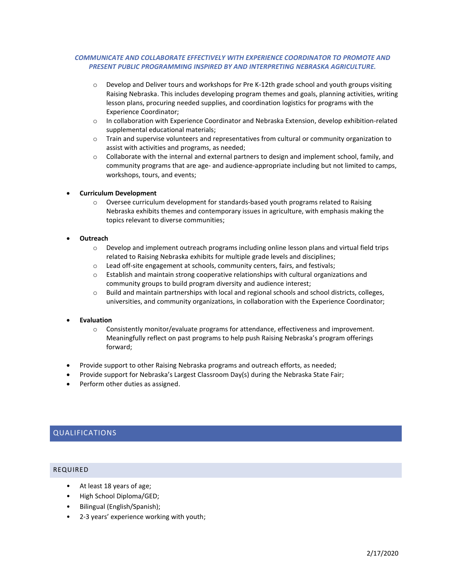## *COMMUNICATE AND COLLABORATE EFFECTIVELY WITH EXPERIENCE COORDINATOR TO PROMOTE AND PRESENT PUBLIC PROGRAMMING INSPIRED BY AND INTERPRETING NEBRASKA AGRICULTURE.*

- o Develop and Deliver tours and workshops for Pre K-12th grade school and youth groups visiting Raising Nebraska. This includes developing program themes and goals, planning activities, writing lesson plans, procuring needed supplies, and coordination logistics for programs with the Experience Coordinator;
- o In collaboration with Experience Coordinator and Nebraska Extension, develop exhibition-related supplemental educational materials;
- o Train and supervise volunteers and representatives from cultural or community organization to assist with activities and programs, as needed;
- $\circ$  Collaborate with the internal and external partners to design and implement school, family, and community programs that are age- and audience-appropriate including but not limited to camps, workshops, tours, and events;

#### **Curriculum Development**

 $\circ$  Oversee curriculum development for standards-based youth programs related to Raising Nebraska exhibits themes and contemporary issues in agriculture, with emphasis making the topics relevant to diverse communities;

#### **Outreach**

- o Develop and implement outreach programs including online lesson plans and virtual field trips related to Raising Nebraska exhibits for multiple grade levels and disciplines;
- o Lead off-site engagement at schools, community centers, fairs, and festivals;
- $\circ$  Establish and maintain strong cooperative relationships with cultural organizations and community groups to build program diversity and audience interest;
- o Build and maintain partnerships with local and regional schools and school districts, colleges, universities, and community organizations, in collaboration with the Experience Coordinator;

#### **Evaluation**

- o Consistently monitor/evaluate programs for attendance, effectiveness and improvement. Meaningfully reflect on past programs to help push Raising Nebraska's program offerings forward;
- Provide support to other Raising Nebraska programs and outreach efforts, as needed;
- Provide support for Nebraska's Largest Classroom Day(s) during the Nebraska State Fair;
- Perform other duties as assigned.

# QUALIFICATIONS

#### REQUIRED

- At least 18 years of age;
- High School Diploma/GED;
- Bilingual (English/Spanish);
- 2-3 years' experience working with youth;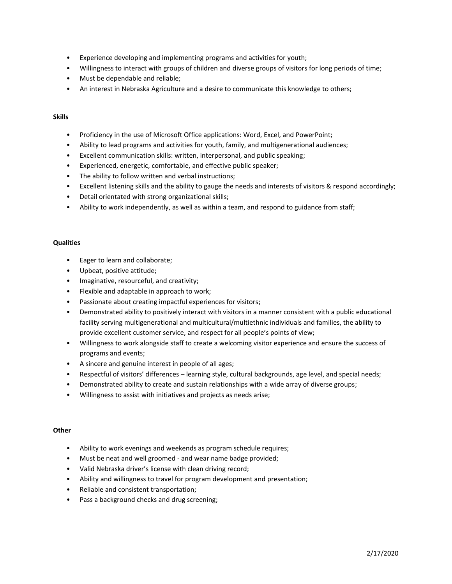- Experience developing and implementing programs and activities for youth;
- Willingness to interact with groups of children and diverse groups of visitors for long periods of time;
- Must be dependable and reliable;
- An interest in Nebraska Agriculture and a desire to communicate this knowledge to others;

#### **Skills**

- Proficiency in the use of Microsoft Office applications: Word, Excel, and PowerPoint;
- Ability to lead programs and activities for youth, family, and multigenerational audiences;
- Excellent communication skills: written, interpersonal, and public speaking;
- Experienced, energetic, comfortable, and effective public speaker;
- The ability to follow written and verbal instructions;
- Excellent listening skills and the ability to gauge the needs and interests of visitors & respond accordingly;
- Detail orientated with strong organizational skills;
- Ability to work independently, as well as within a team, and respond to guidance from staff;

#### **Qualities**

- Eager to learn and collaborate;
- Upbeat, positive attitude;
- Imaginative, resourceful, and creativity;
- Flexible and adaptable in approach to work;
- Passionate about creating impactful experiences for visitors;
- Demonstrated ability to positively interact with visitors in a manner consistent with a public educational facility serving multigenerational and multicultural/multiethnic individuals and families, the ability to provide excellent customer service, and respect for all people's points of view;
- Willingness to work alongside staff to create a welcoming visitor experience and ensure the success of programs and events;
- A sincere and genuine interest in people of all ages;
- Respectful of visitors' differences learning style, cultural backgrounds, age level, and special needs;
- Demonstrated ability to create and sustain relationships with a wide array of diverse groups;
- Willingness to assist with initiatives and projects as needs arise;

#### **Other**

- Ability to work evenings and weekends as program schedule requires;
- Must be neat and well groomed and wear name badge provided;
- Valid Nebraska driver's license with clean driving record;
- Ability and willingness to travel for program development and presentation;
- Reliable and consistent transportation;
- Pass a background checks and drug screening;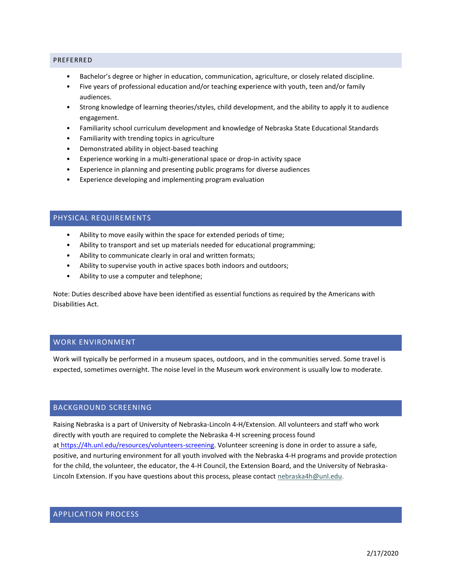#### PREFERRED

- Bachelor's degree or higher in education, communication, agriculture, or closely related discipline.
- Five years of professional education and/or teaching experience with youth, teen and/or family audiences.
- Strong knowledge of learning theories/styles, child development, and the ability to apply it to audience engagement.
- Familiarity school curriculum development and knowledge of Nebraska State Educational Standards
- Familiarity with trending topics in agriculture
- Demonstrated ability in object-based teaching
- Experience working in a multi-generational space or drop-in activity space
- Experience in planning and presenting public programs for diverse audiences
- Experience developing and implementing program evaluation

# PHYSICAL REQUIREMENTS

- Ability to move easily within the space for extended periods of time;
- Ability to transport and set up materials needed for educational programming;
- Ability to communicate clearly in oral and written formats;
- Ability to supervise youth in active spaces both indoors and outdoors;
- Ability to use a computer and telephone;

Note: Duties described above have been identified as essential functions as required by the Americans with Disabilities Act.

# WORK ENVIRONMENT

Work will typically be performed in a museum spaces, outdoors, and in the communities served. Some travel is expected, sometimes overnight. The noise level in the Museum work environment is usually low to moderate.

# BACKGROUND SCREENING

Raising Nebraska is a part of University of Nebraska-Lincoln 4-H/Extension. All volunteers and staff who work directly with youth are required to complete the Nebraska 4-H screening process found at [https://4h.unl.edu/resources/volunteers-screening.](https://4h.unl.edu/resources/volunteers-screening) Volunteer screening is done in order to assure a safe, positive, and nurturing environment for all youth involved with the Nebraska 4-H programs and provide protection for the child, the volunteer, the educator, the 4-H Council, the Extension Board, and the University of Nebraska-Lincoln Extension. If you have questions about this process, please contact [nebraska4h@unl.edu.](mailto:nebraska4h@unl.edu?subject=Volunteer%20Screening)

# APPLICATION PROCESS